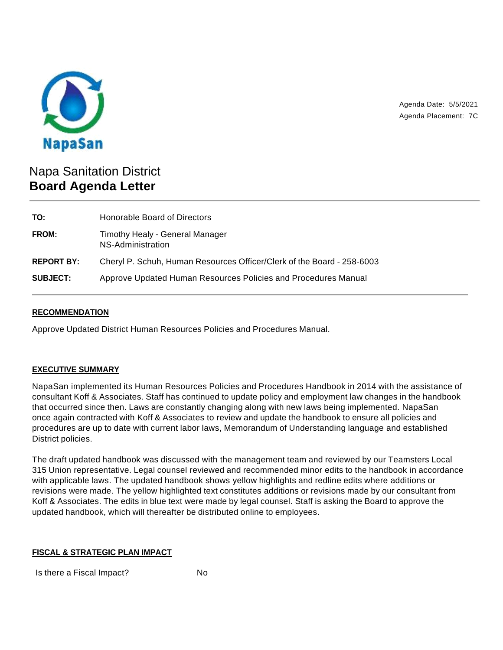

Agenda Date: 5/5/2021 Agenda Placement: 7C

# Napa Sanitation District **Board Agenda Letter**

| TO:               | Honorable Board of Directors                                           |
|-------------------|------------------------------------------------------------------------|
| <b>FROM:</b>      | Timothy Healy - General Manager<br>NS-Administration                   |
| <b>REPORT BY:</b> | Cheryl P. Schuh, Human Resources Officer/Clerk of the Board - 258-6003 |
| <b>SUBJECT:</b>   | Approve Updated Human Resources Policies and Procedures Manual         |

## **RECOMMENDATION**

Approve Updated District Human Resources Policies and Procedures Manual.

# **EXECUTIVE SUMMARY**

NapaSan implemented its Human Resources Policies and Procedures Handbook in 2014 with the assistance of consultant Koff & Associates. Staff has continued to update policy and employment law changes in the handbook that occurred since then. Laws are constantly changing along with new laws being implemented. NapaSan once again contracted with Koff & Associates to review and update the handbook to ensure all policies and procedures are up to date with current labor laws, Memorandum of Understanding language and established District policies.

The draft updated handbook was discussed with the management team and reviewed by our Teamsters Local 315 Union representative. Legal counsel reviewed and recommended minor edits to the handbook in accordance with applicable laws. The updated handbook shows yellow highlights and redline edits where additions or revisions were made. The yellow highlighted text constitutes additions or revisions made by our consultant from Koff & Associates. The edits in blue text were made by legal counsel. Staff is asking the Board to approve the updated handbook, which will thereafter be distributed online to employees.

#### **FISCAL & STRATEGIC PLAN IMPACT**

Is there a Fiscal Impact? No